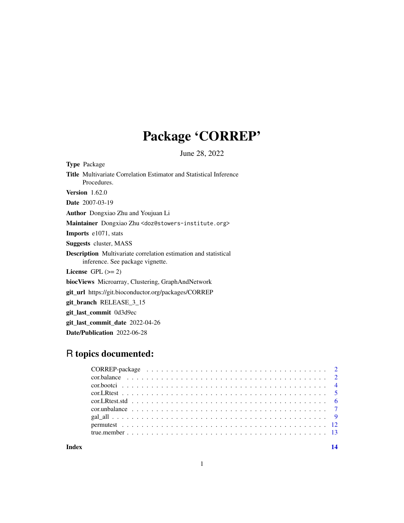# Package 'CORREP'

June 28, 2022

<span id="page-0-0"></span>Type Package Title Multivariate Correlation Estimator and Statistical Inference Procedures. Version 1.62.0 Date 2007-03-19 Author Dongxiao Zhu and Youjuan Li Maintainer Dongxiao Zhu <doz@stowers-institute.org> Imports e1071, stats Suggests cluster, MASS Description Multivariate correlation estimation and statistical inference. See package vignette. License GPL  $(>= 2)$ biocViews Microarray, Clustering, GraphAndNetwork git\_url https://git.bioconductor.org/packages/CORREP git\_branch RELEASE\_3\_15 git\_last\_commit 0d3d9ec git\_last\_commit\_date 2022-04-26

Date/Publication 2022-06-28

# R topics documented:

**Index** 2008 **[14](#page-13-0)**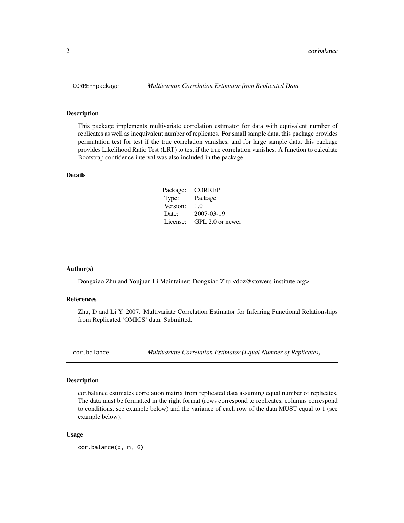This package implements multivariate correlation estimator for data with equivalent number of replicates as well as inequivalent number of replicates. For small sample data, this package provides permutation test for test if the true correlation vanishes, and for large sample data, this package provides Likelihood Ratio Test (LRT) to test if the true correlation vanishes. A function to calculate Bootstrap confidence interval was also included in the package.

# Details

| Package: | <b>CORREP</b>    |
|----------|------------------|
| Type:    | Package          |
| Version: | 1.0              |
| Date:    | 2007-03-19       |
| License: | GPL 2.0 or newer |

# Author(s)

Dongxiao Zhu and Youjuan Li Maintainer: Dongxiao Zhu <doz@stowers-institute.org>

#### References

Zhu, D and Li Y. 2007. Multivariate Correlation Estimator for Inferring Functional Relationships from Replicated 'OMICS' data. Submitted.

<span id="page-1-1"></span>cor.balance *Multivariate Correlation Estimator (Equal Number of Replicates)*

# Description

cor.balance estimates correlation matrix from replicated data assuming equal number of replicates. The data must be formatted in the right format (rows correspond to replicates, columns correspond to conditions, see example below) and the variance of each row of the data MUST equal to 1 (see example below).

#### Usage

cor.balance(x, m, G)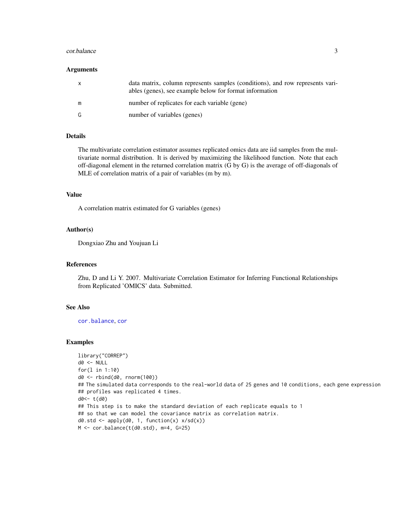#### <span id="page-2-0"></span>cor.balance 3

#### Arguments

| $\mathsf{X}$ | data matrix, column represents samples (conditions), and row represents vari-<br>ables (genes), see example below for format information |
|--------------|------------------------------------------------------------------------------------------------------------------------------------------|
| m            | number of replicates for each variable (gene)                                                                                            |
| G            | number of variables (genes)                                                                                                              |

#### Details

The multivariate correlation estimator assumes replicated omics data are iid samples from the multivariate normal distribution. It is derived by maximizing the likelihood function. Note that each off-diagonal element in the returned correlation matrix (G by G) is the average of off-diagonals of MLE of correlation matrix of a pair of variables (m by m).

#### Value

A correlation matrix estimated for G variables (genes)

#### Author(s)

Dongxiao Zhu and Youjuan Li

#### References

Zhu, D and Li Y. 2007. Multivariate Correlation Estimator for Inferring Functional Relationships from Replicated 'OMICS' data. Submitted.

#### See Also

[cor.balance](#page-1-1), [cor](#page-0-0)

```
library("CORREP")
d0 <- NULL
for(l in 1:10)
d0 <- rbind(d0, rnorm(100))
## The simulated data corresponds to the real-world data of 25 genes and 10 conditions, each gene expression
## profiles was replicated 4 times.
d0<- t(d0)
## This step is to make the standard deviation of each replicate equals to 1
## so that we can model the covariance matrix as correlation matrix.
d0.std <- apply(d0, 1, function(x) x/sd(x))
M <- cor.balance(t(d0.std), m=4, G=25)
```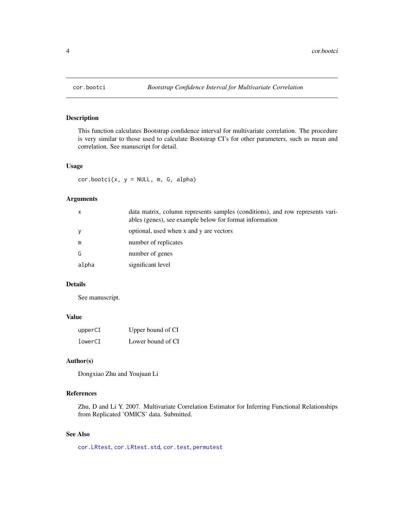<span id="page-3-0"></span>

This function calculates Bootstrap confidence interval for multivariate correlation. The procedure is very similar to those used to calculate Bootstrap CI's for other parameters, such as mean and correlation. See manuscript for detail.

#### Usage

 $cor.bootci(x, y = NULL, m, G, alpha)$ 

#### Arguments

| $\mathsf{x}$ | data matrix, column represents samples (conditions), and row represents vari-<br>ables (genes), see example below for format information |
|--------------|------------------------------------------------------------------------------------------------------------------------------------------|
| y            | optional, used when x and y are vectors                                                                                                  |
| m            | number of replicates                                                                                                                     |
| G            | number of genes                                                                                                                          |
| alpha        | significant level                                                                                                                        |

# Details

See manuscript.

# Value

| upperCI | Upper bound of CI |
|---------|-------------------|
| lowerCI | Lower bound of CI |

# Author(s)

Dongxiao Zhu and Youjuan Li

# References

Zhu, D and Li Y. 2007. Multivariate Correlation Estimator for Inferring Functional Relationships from Replicated 'OMICS' data. Submitted.

# See Also

[cor.LRtest](#page-4-1), [cor.LRtest.std](#page-5-1), [cor.test](#page-0-0), [permutest](#page-11-1)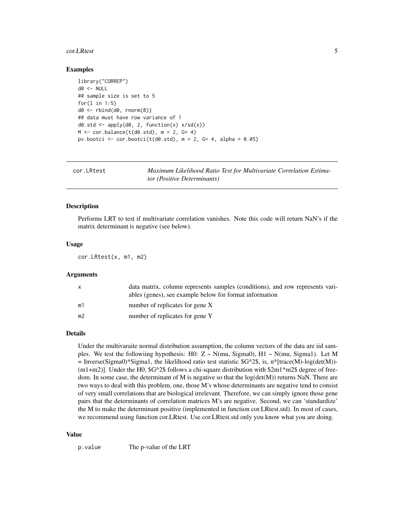#### <span id="page-4-0"></span>cor.LRtest 5

#### Examples

```
library("CORREP")
d0 < - NULL
## sample size is set to 5
for(1 \text{ in } 1:5)d0 <- rbind(d0, rnorm(8))
## data must have row variance of 1
d\theta.std <- apply(d\theta, 2, function(x) x/sd(x))
M \leftarrow \text{cor.balance}(t(d\emptyset.std), m = 2, G= 4)pv.bootci \leq cor.bootci(t(d0.std), m = 2, G= 4, alpha = 0.05)
```
<span id="page-4-1"></span>

| cor.LRtest | Maximum Likelihood Ratio Test for Multivariate Correlation Estima- |
|------------|--------------------------------------------------------------------|
|            | <i>tor (Positive Determinants)</i>                                 |

# Description

Performs LRT to test if multivariate correlation vanishes. Note this code will return NaN's if the matrix determinant is negative (see below).

#### Usage

cor.LRtest(x, m1, m2)

#### **Arguments**

| X              | data matrix, column represents samples (conditions), and row represents vari-<br>ables (genes), see example below for format information |
|----------------|------------------------------------------------------------------------------------------------------------------------------------------|
| m1             | number of replicates for gene X                                                                                                          |
| m <sub>2</sub> | number of replicates for gene Y                                                                                                          |

# Details

Under the multivaraite normal distribution assumption, the column vectors of the data are iid samples. We test the followiing hypothesis: H0:  $Z \sim N$ (mu, Sigma0), H1  $\sim N$ (mu, Sigma1). Let M  $=$  Inverse(Sigma0)\*Sigma1, the likelihood ratio test statistic \$G^2\$, is, n\*[trace(M)-log(det(M))-(m1+m2)]. Under the H0, \$G^2\$ follows a chi-square distribution with \$2m1\*m2\$ degree of freedom. In some case, the determinant of M is negative so that the  $log(det(M))$  returns NaN. There are two ways to deal with this problem, one, those M's whose determinants are negative tend to consist of very small correlations that are biological irrelevant. Therefore, we can simply ignore those gene pairs that the determinants of correlation matrices M's are negative. Second, we can 'standardize' the M to make the determinant positive (implemented in function cor.LRtest.std). In most of cases, we recommend using function cor.LRtest. Use cor.LRtest.std only you know what you are doing.

#### Value

p.value The p-value of the LRT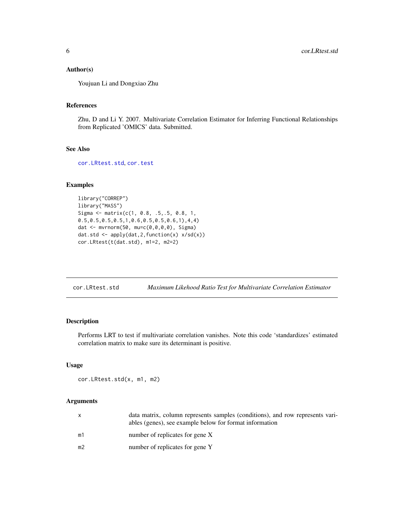# <span id="page-5-0"></span>Author(s)

Youjuan Li and Dongxiao Zhu

# References

Zhu, D and Li Y. 2007. Multivariate Correlation Estimator for Inferring Functional Relationships from Replicated 'OMICS' data. Submitted.

# See Also

[cor.LRtest.std](#page-5-1), [cor.test](#page-0-0)

# Examples

```
library("CORREP")
library("MASS")
Sigma <- matrix(c(1, 0.8, .5,.5, 0.8, 1,
0.5,0.5,0.5,0.5,1,0.6,0.5,0.5,0.6,1),4,4)
dat <- mvrnorm(50, mu=c(0,0,0,0), Sigma)
dat.std <- apply(dat,2,function(x) x/sd(x))
cor.LRtest(t(dat.std), m1=2, m2=2)
```
<span id="page-5-1"></span>

| cor.LRtest.std | Maximum Likehood Ratio Test for Multivariate Correlation Estimator |  |
|----------------|--------------------------------------------------------------------|--|
|----------------|--------------------------------------------------------------------|--|

# Description

Performs LRT to test if multivariate correlation vanishes. Note this code 'standardizes' estimated correlation matrix to make sure its determinant is positive.

#### Usage

cor.LRtest.std(x, m1, m2)

# Arguments

|    | data matrix, column represents samples (conditions), and row represents vari-<br>ables (genes), see example below for format information |
|----|------------------------------------------------------------------------------------------------------------------------------------------|
| m1 | number of replicates for gene X                                                                                                          |
| m2 | number of replicates for gene Y                                                                                                          |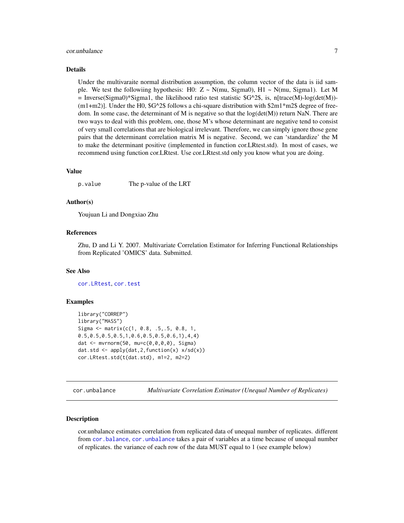# <span id="page-6-0"></span>cor.unbalance 7

#### Details

Under the multivaraite normal distribution assumption, the column vector of the data is iid sample. We test the followiing hypothesis: H0:  $Z \sim N$ (mu, Sigma0), H1  $\sim N$ (mu, Sigma1). Let M = Inverse(Sigma0)\*Sigma1, the likelihood ratio test statistic  $G^2$ 8, is, n[trace(M)-log(det(M))- $(m1+m2)$ ]. Under the H0,  $G^2$  follows a chi-square distribution with  $2m1*m2$  degree of freedom. In some case, the determinant of M is negative so that the  $log(det(M))$  return NaN. There are two ways to deal with this problem, one, those M's whose determinant are negative tend to consist of very small correlations that are biological irrelevant. Therefore, we can simply ignore those gene pairs that the determinant correlation matrix M is negative. Second, we can 'standardize' the M to make the determinant positive (implemented in function cor.LRtest.std). In most of cases, we recommend using function cor.LRtest. Use cor.LRtest.std only you know what you are doing.

# Value

p.value The p-value of the LRT

#### Author(s)

Youjuan Li and Dongxiao Zhu

# References

Zhu, D and Li Y. 2007. Multivariate Correlation Estimator for Inferring Functional Relationships from Replicated 'OMICS' data. Submitted.

#### See Also

[cor.LRtest](#page-4-1), [cor.test](#page-0-0)

#### Examples

```
library("CORREP")
library("MASS")
Sigma <- matrix(c(1, 0.8, .5,.5, 0.8, 1,
0.5,0.5,0.5,0.5,1,0.6,0.5,0.5,0.6,1),4,4)
dat <- mvrnorm(50, mu=c(0,0,0,0), Sigma)
dat.std \leq apply(dat, 2, function(x) x/sd(x))
cor.LRtest.std(t(dat.std), m1=2, m2=2)
```
<span id="page-6-1"></span>cor.unbalance *Multivariate Correlation Estimator (Unequal Number of Replicates)*

#### **Description**

cor.unbalance estimates correlation from replicated data of unequal number of replicates. different from [cor.balance](#page-1-1), [cor.unbalance](#page-6-1) takes a pair of variables at a time because of unequal number of replicates. the variance of each row of the data MUST equal to 1 (see example below)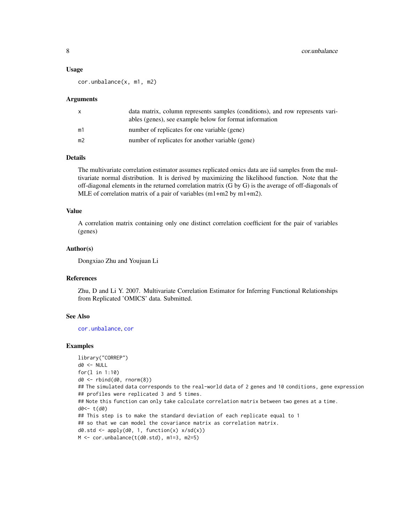#### <span id="page-7-0"></span>Usage

cor.unbalance(x, m1, m2)

#### Arguments

|    | data matrix, column represents samples (conditions), and row represents vari-<br>ables (genes), see example below for format information |
|----|------------------------------------------------------------------------------------------------------------------------------------------|
| m1 | number of replicates for one variable (gene)                                                                                             |
| m2 | number of replicates for another variable (gene)                                                                                         |

# Details

The multivariate correlation estimator assumes replicated omics data are iid samples from the multivariate normal distribution. It is derived by maximizing the likelihood function. Note that the off-diagonal elements in the returned correlation matrix (G by G) is the average of off-diagonals of MLE of correlation matrix of a pair of variables (m1+m2 by m1+m2).

#### Value

A correlation matrix containing only one distinct correlation coefficient for the pair of variables (genes)

#### Author(s)

Dongxiao Zhu and Youjuan Li

# References

Zhu, D and Li Y. 2007. Multivariate Correlation Estimator for Inferring Functional Relationships from Replicated 'OMICS' data. Submitted.

# See Also

[cor.unbalance](#page-6-1), [cor](#page-0-0)

```
library("CORREP")
d0 < - NULL
for(l in 1:10)
d0 <- rbind(d0, rnorm(8))
## The simulated data corresponds to the real-world data of 2 genes and 10 conditions, gene expression
## profiles were replicated 3 and 5 times.
## Note this function can only take calculate correlation matrix between two genes at a time.
d0<- t(d0)
## This step is to make the standard deviation of each replicate equal to 1
## so that we can model the covariance matrix as correlation matrix.
d\theta.std <- apply(d\theta, 1, function(x) x/sd(x))
M \leftarrow \text{cor.unbalance}(t(d\emptyset.std), m1=3, m2=5)
```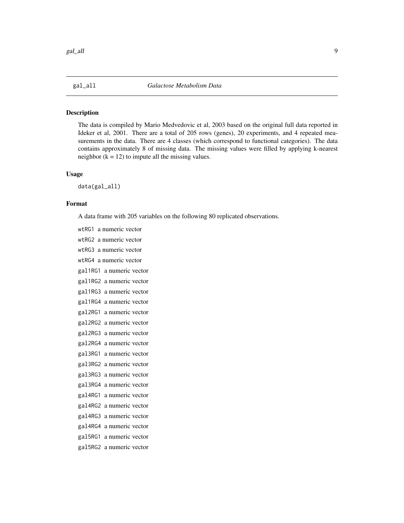<span id="page-8-0"></span>

The data is compiled by Mario Medvedovic et al, 2003 based on the original full data reported in Ideker et al, 2001. There are a total of 205 rows (genes), 20 experiments, and 4 repeated measurements in the data. There are 4 classes (which correspond to functional categories). The data contains approximately 8 of missing data. The missing values were filled by applying k-nearest neighbor  $(k = 12)$  to impute all the missing values.

# Usage

data(gal\_all)

#### Format

A data frame with 205 variables on the following 80 replicated observations.

wtRG1 a numeric vector wtRG2 a numeric vector wtRG3 a numeric vector wtRG4 a numeric vector gal1RG1 a numeric vector gal1RG2 a numeric vector gal1RG3 a numeric vector gal1RG4 a numeric vector gal2RG1 a numeric vector gal2RG2 a numeric vector gal2RG3 a numeric vector gal2RG4 a numeric vector gal3RG1 a numeric vector gal3RG2 a numeric vector gal3RG3 a numeric vector gal3RG4 a numeric vector gal4RG1 a numeric vector gal4RG2 a numeric vector gal4RG3 a numeric vector gal4RG4 a numeric vector gal5RG1 a numeric vector gal5RG2 a numeric vector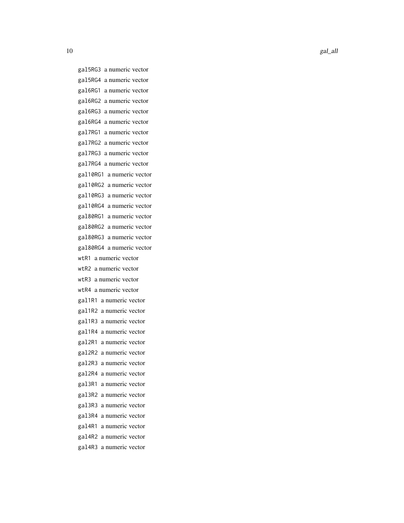10 gal\_all

gal5RG3 a numeric vector gal5RG4 a numeric vector gal6RG1 a numeric vector gal6RG2 a numeric vector gal6RG3 a numeric vector gal6RG4 a numeric vector gal7RG1 a numeric vector gal7RG2 a numeric vector gal7RG3 a numeric vector gal7RG4 a numeric vector gal10RG1 a numeric vector gal10RG2 a numeric vector gal10RG3 a numeric vector gal10RG4 a numeric vector gal80RG1 a numeric vector gal80RG2 a numeric vector gal80RG3 a numeric vector gal80RG4 a numeric vector wtR1 a numeric vector wtR2 a numeric vector wtR3 a numeric vector wtR4 a numeric vector gal1R1 a numeric vector gal1R2 a numeric vector gal1R3 a numeric vector gal1R4 a numeric vector gal2R1 a numeric vector gal2R2 a numeric vector gal2R3 a numeric vector gal2R4 a numeric vector gal3R1 a numeric vector gal3R2 a numeric vector gal3R3 a numeric vector gal3R4 a numeric vector gal4R1 a numeric vector gal4R2 a numeric vector gal4R3 a numeric vector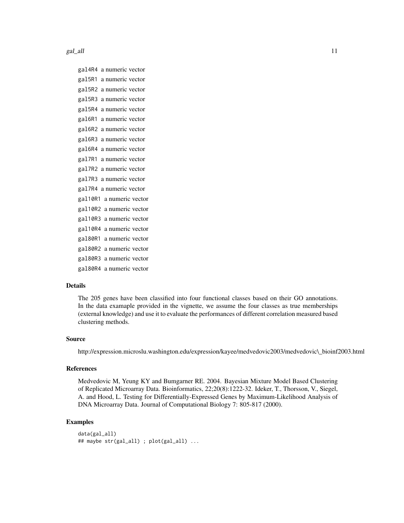gal\_all 11

gal4R4 a numeric vector gal5R1 a numeric vector gal5R2 a numeric vector gal5R3 a numeric vector gal5R4 a numeric vector gal6R1 a numeric vector gal6R2 a numeric vector gal6R3 a numeric vector gal6R4 a numeric vector gal7R1 a numeric vector gal7R2 a numeric vector gal7R3 a numeric vector gal7R4 a numeric vector gal10R1 a numeric vector gal10R2 a numeric vector gal10R3 a numeric vector gal10R4 a numeric vector gal80R1 a numeric vector gal80R2 a numeric vector gal80R3 a numeric vector gal80R4 a numeric vector

# Details

The 205 genes have been classified into four functional classes based on their GO annotations. In the data examaple provided in the vignette, we assume the four classes as true memberships (external knowledge) and use it to evaluate the performances of different correlation measured based clustering methods.

# Source

http://expression.microslu.washington.edu/expression/kayee/medvedovic2003/medvedovic\\_bioinf2003.html

#### References

Medvedovic M, Yeung KY and Bumgarner RE. 2004. Bayesian Mixture Model Based Clustering of Replicated Microarray Data. Bioinformatics, 22;20(8):1222-32. Ideker, T., Thorsson, V., Siegel, A. and Hood, L. Testing for Differentially-Expressed Genes by Maximum-Likelihood Analysis of DNA Microarray Data. Journal of Computational Biology 7: 805-817 (2000).

```
data(gal_all)
## maybe str(gal_all) ; plot(gal_all) ...
```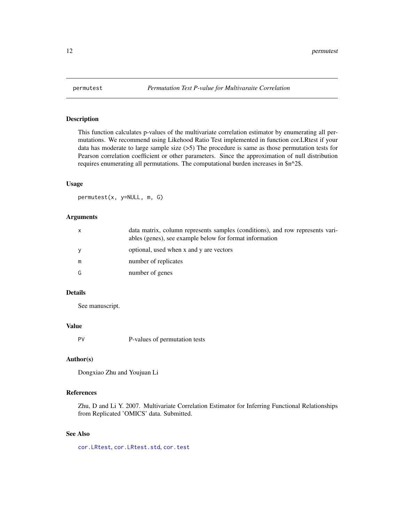<span id="page-11-1"></span><span id="page-11-0"></span>

This function calculates p-values of the multivariate correlation estimator by enumerating all permutations. We recommend using Likehood Ratio Test implemented in function cor.LRtest if your data has moderate to large sample size (>5) The procedure is same as those permutation tests for Pearson correlation coefficient or other parameters. Since the approximation of null distribution requires enumerating all permutations. The computational burden increases in \$n^2\$.

#### Usage

permutest(x, y=NULL, m, G)

# Arguments

| X | data matrix, column represents samples (conditions), and row represents vari-<br>ables (genes), see example below for format information |
|---|------------------------------------------------------------------------------------------------------------------------------------------|
| y | optional, used when x and y are vectors                                                                                                  |
| m | number of replicates                                                                                                                     |
| G | number of genes                                                                                                                          |

#### Details

See manuscript.

# Value

PV P-values of permutation tests

# Author(s)

Dongxiao Zhu and Youjuan Li

# References

Zhu, D and Li Y. 2007. Multivariate Correlation Estimator for Inferring Functional Relationships from Replicated 'OMICS' data. Submitted.

#### See Also

[cor.LRtest](#page-4-1), [cor.LRtest.std](#page-5-1), [cor.test](#page-0-0)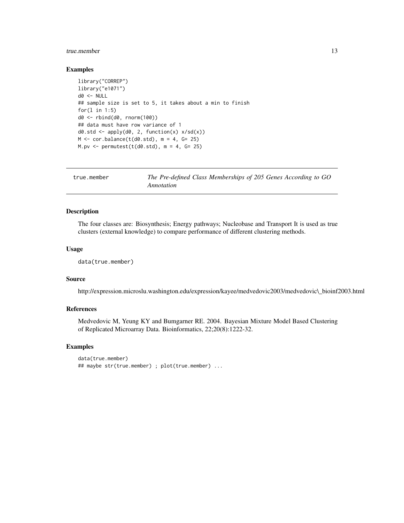#### <span id="page-12-0"></span>true.member 13

# Examples

```
library("CORREP")
library("e1071")
d0 <- NULL
## sample size is set to 5, it takes about a min to finish
for(l in 1:5)
d0 <- rbind(d0, rnorm(100))
## data must have row variance of 1
d\theta.std <- apply(d\theta, 2, function(x) x/sd(x))
M < - cor.balance(t(d0.std), m = 4, G= 25)
M.py \leftarrow permutest(t(d0.std), m = 4, G = 25)
```

| true.member | The Pre-defined Class Memberships of 205 Genes According to GO |
|-------------|----------------------------------------------------------------|
|             | Annotation                                                     |

# Description

The four classes are: Biosynthesis; Energy pathways; Nucleobase and Transport It is used as true clusters (external knowledge) to compare performance of different clustering methods.

#### Usage

```
data(true.member)
```
# Source

http://expression.microslu.washington.edu/expression/kayee/medvedovic2003/medvedovic\\_bioinf2003.html

# References

Medvedovic M, Yeung KY and Bumgarner RE. 2004. Bayesian Mixture Model Based Clustering of Replicated Microarray Data. Bioinformatics, 22;20(8):1222-32.

```
data(true.member)
## maybe str(true.member) ; plot(true.member) ...
```